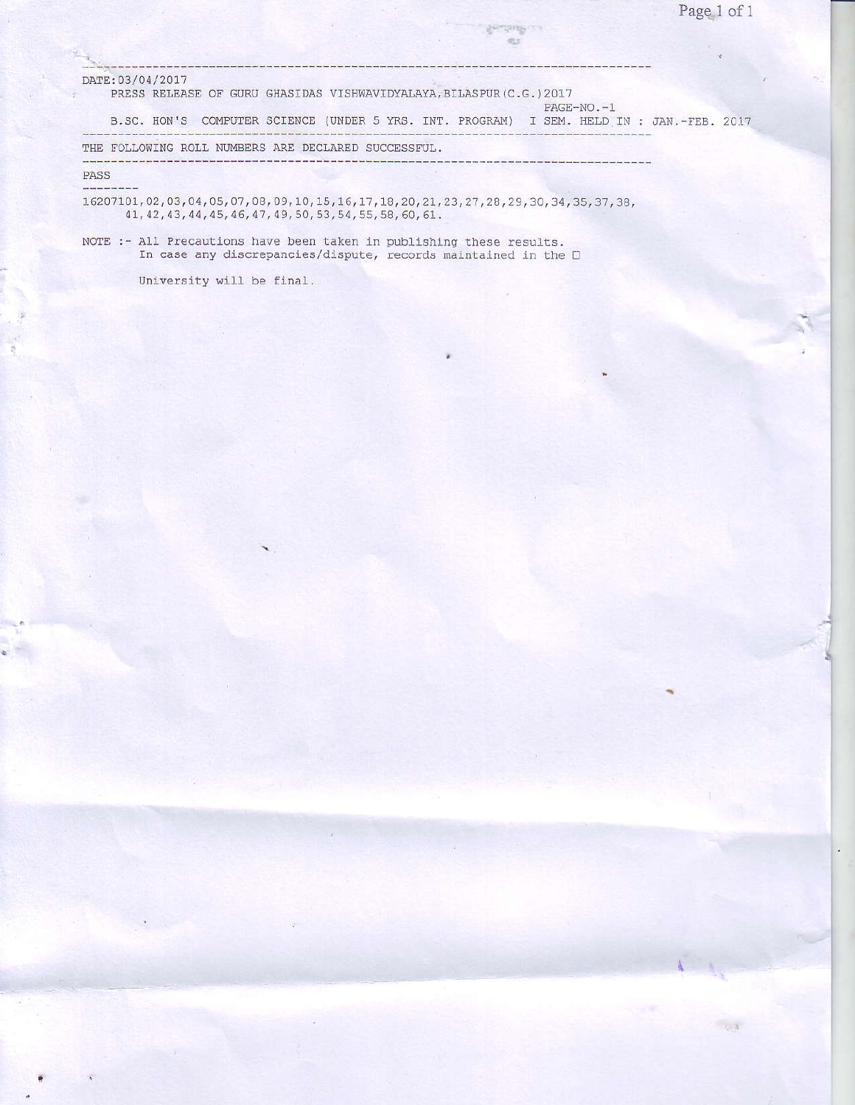$\eta$  -  $\alpha$ 

## DATE: 03/04/2017

PRESS RELEASE OF GURU GHASIDAS VISHWAVIDYALAYA, BILASPUR (C.G.) 2017

|                                                     | B.SC. HON'S COMPUTER SCIENCE (UNDER 5 YRS. INT. PROGRAM) I SEM. HELD IN : JAN.-FEB. 2017 |  |
|-----------------------------------------------------|------------------------------------------------------------------------------------------|--|
| THE FOLLOWING ROLL NUMBERS ARE DECLARED SUCCESSFUL. |                                                                                          |  |

**Contractor**  $\alpha_{\rm D}$ 

PASS

16207101, 02, 03, 04, 05, 07, 08, 09, 10, 15, 16, 17, 18, 20, 21, 23, 27, 28, 29, 30, 34, 35, 37, 38, 41, 42, 43, 44, 45, 46, 47, 49, 50, 53, 54, 55, 58, 60, 61.

NOTE :- All Precautions have been taken in publishing these results. In case any discrepancies/dispute, records maintained in the  $\Box$ 

University will be final.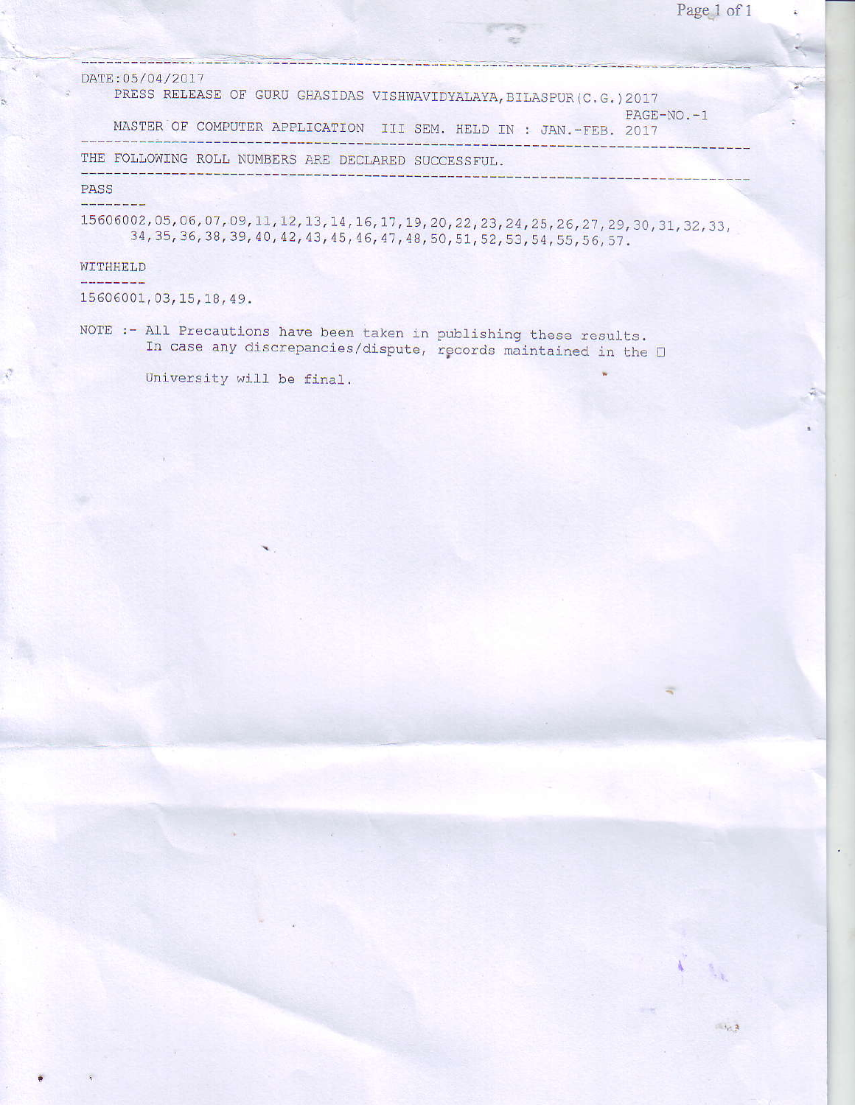| DATE: 05/04/2017<br>PRESS RELEASE OF GURU GHASIDAS VISHWAVIDYALAYA, BILASPUR(C.G.)2017                                                                                                   |               |
|------------------------------------------------------------------------------------------------------------------------------------------------------------------------------------------|---------------|
| MASTER OF COMPUTER APPLICATION III SEM. HELD IN : JAN. -FEB. 2017                                                                                                                        | $PAGF-NO. -1$ |
| THE FOLLOWING ROLL NUMBERS ARE DECLARED SUCCESSFUL.                                                                                                                                      |               |
| PASS                                                                                                                                                                                     |               |
| 15606002, 05, 06, 07, 09, 11, 12, 13, 14, 16, 17, 19, 20, 22, 23, 24, 25, 26, 27, 29, 30, 31, 32, 33,<br>34, 35, 36, 38, 39, 40, 42, 43, 45, 46, 47, 48, 50, 51, 52, 53, 54, 55, 56, 57. |               |

.--.?

WITHHELD

\_ -.-'-.

<u> De la la la la la la la</u>

15 60 60 01, 03, 15, 18, 4 9 .

NOTE :- A11 Precautions have been taken in In case any discrepancies/disput pubtishing these results. rgcords maintained in the !

University will be final.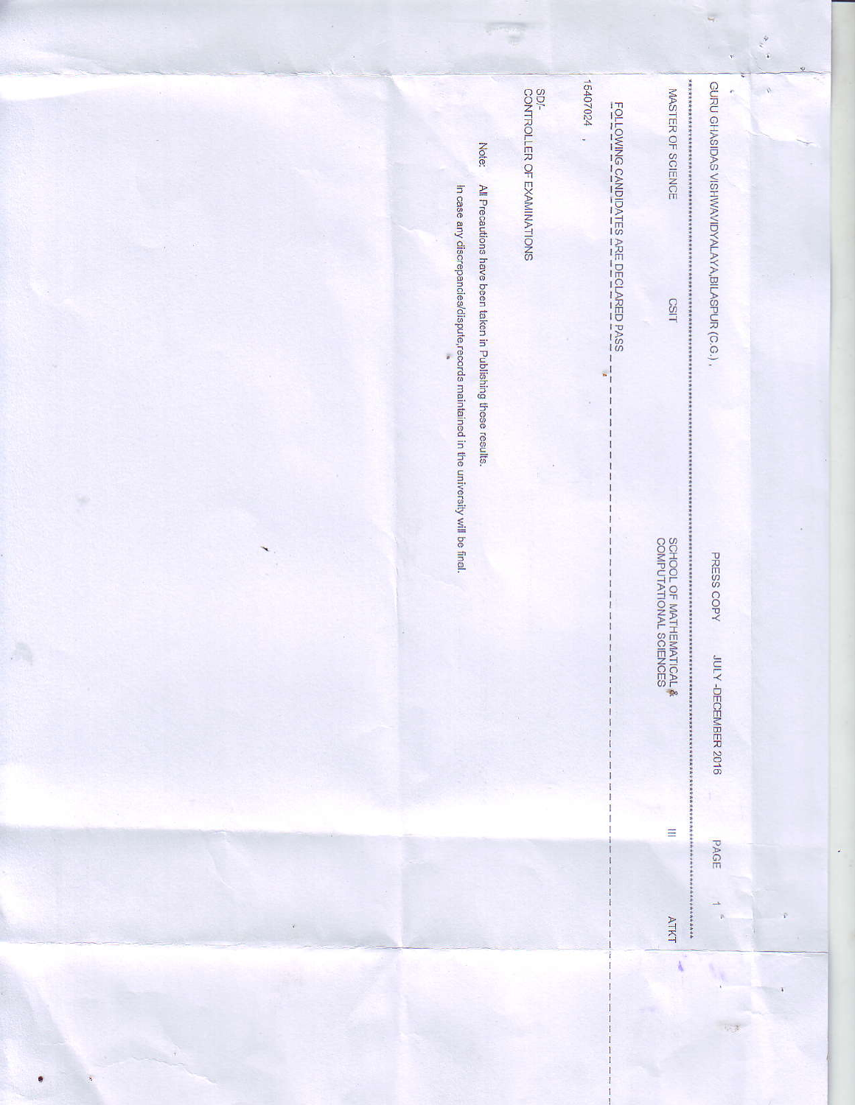|               | Note:<br>All Precautions have been taken in Publishing these results.                       | SD/-<br>CONTROLLER OF EXAMINATIONS | 15407024<br><u>FOLLOWING CANDIDATES ARE DECLARED PASS</u><br>ú, | ***********<br>MASTER OF SCIENCE<br>CSIT           | τ<br>GURU GHASIDAS VISHWAVIDYALAYA, BILASPUR (C.G.)<br>ř | 剪<br>$\mathcal{O}$ |
|---------------|---------------------------------------------------------------------------------------------|------------------------------------|-----------------------------------------------------------------|----------------------------------------------------|----------------------------------------------------------|--------------------|
| $\star$ ,     | In case any discrepancies/dispute,records maintained in the university will be final.<br>Ŧ. |                                    | $\mathbf{r}^{\mathrm{I}}$                                       | SCHOOL OF MATHEMATICAL &<br>COMPUTATIONAL SCIENCES | PRESS COPY<br>JULY-DECEMBER 2016                         |                    |
| $\mathcal{V}$ |                                                                                             |                                    |                                                                 | $\equiv$<br><b>ATKT</b><br>$\frac{3}{4}$           | PAGE<br>$\rightarrow$<br>v                               |                    |
|               |                                                                                             |                                    |                                                                 |                                                    | $\sim x$                                                 |                    |

ų,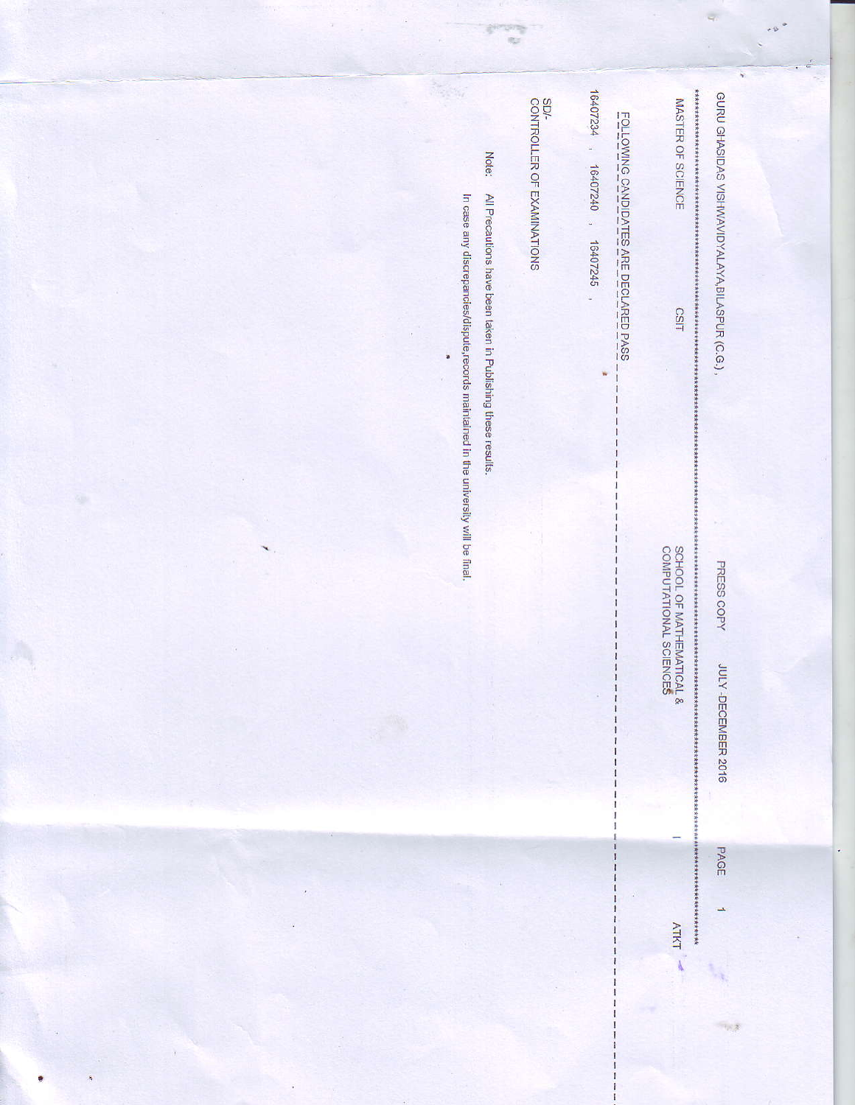|                |                                                                                            |                                                                                                                    |                                         |                                                                            | $\frac{e}{\sqrt{2}}$<br>¥                                             |
|----------------|--------------------------------------------------------------------------------------------|--------------------------------------------------------------------------------------------------------------------|-----------------------------------------|----------------------------------------------------------------------------|-----------------------------------------------------------------------|
|                | In case any discrepancies/dispute,records maintained in the university will be final.<br>ä | <b>SD/-</b><br>CONTROLLER OF EXAMINATIONS<br>Note:<br>All Precautions have been taken in Publishing these results. | 16407234<br>16407240,<br>16407245,<br>ŵ | MASTER OF SCIENCE<br><u>FOLLOWING CANDIDATES ARE DECLARED PASS</u><br>CSIT | *******************<br>GURU GHASIDAS VISHWAVIDYALAYA, BILASPUR (C.G.) |
| œ<br>$\lambda$ |                                                                                            |                                                                                                                    |                                         | SCHOOL OF MATHEMATICAL &<br>COMPUTATIONAL SCIENCES<br>14444                | PRESS COPY<br><b>IUL</b><br>Y-DECEMBER 2016                           |
|                |                                                                                            |                                                                                                                    |                                         | <b>ATKT</b>                                                                | PAGE<br>÷,                                                            |
|                |                                                                                            |                                                                                                                    |                                         |                                                                            | 中国                                                                    |